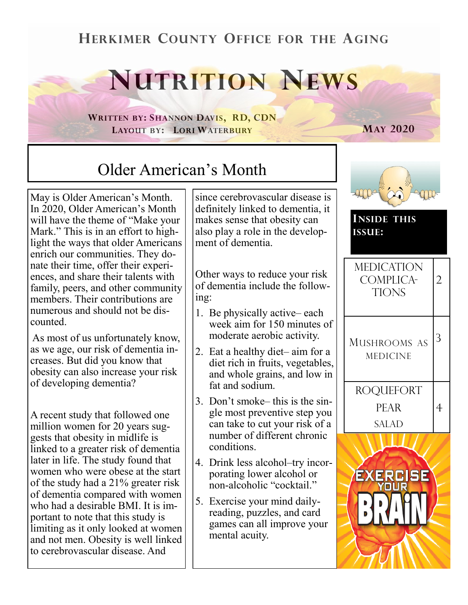### **HERKIMER COUNTY OFFICE FOR THE AGING**

# **NUTRITION NEWS**

**WRITTEN BY: SHANNON DAVIS, RD, CDN LAYOUT BY: LORI WATERBURY**

**MAY 2020**

## Older American's Month

May is Older American's Month. In 2020, Older American's Month will have the theme of "Make your Mark." This is in an effort to highlight the ways that older Americans enrich our communities. They donate their time, offer their experiences, and share their talents with family, peers, and other community members. Their contributions are numerous and should not be discounted.

As most of us unfortunately know, as we age, our risk of dementia increases. But did you know that obesity can also increase your risk of developing dementia?

A recent study that followed one million women for 20 years suggests that obesity in midlife is linked to a greater risk of dementia later in life. The study found that women who were obese at the start of the study had a 21% greater risk of dementia compared with women who had a desirable BMI. It is important to note that this study is limiting as it only looked at women and not men. Obesity is well linked to cerebrovascular disease. And

since cerebrovascular disease is definitely linked to dementia, it makes sense that obesity can also play a role in the development of dementia.

Other ways to reduce your risk of dementia include the following:

- 1. Be physically active– each week aim for 150 minutes of moderate aerobic activity.
- 2. Eat a healthy diet– aim for a diet rich in fruits, vegetables, and whole grains, and low in fat and sodium.
- 3. Don't smoke– this is the single most preventive step you can take to cut your risk of a number of different chronic conditions.
- 4. Drink less alcohol–try incorporating lower alcohol or non-alcoholic "cocktail."
- 5. Exercise your mind dailyreading, puzzles, and card games can all improve your mental acuity.

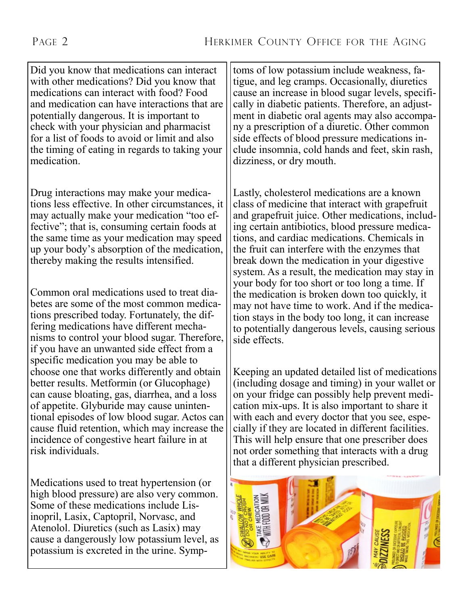Did you know that medications can interact with other medications? Did you know that medications can interact with food? Food and medication can have interactions that are potentially dangerous. It is important to check with your physician and pharmacist for a list of foods to avoid or limit and also the timing of eating in regards to taking your medication.

Drug interactions may make your medications less effective. In other circumstances, it may actually make your medication "too effective"; that is, consuming certain foods at the same time as your medication may speed up your body's absorption of the medication, thereby making the results intensified.

Common oral medications used to treat diabetes are some of the most common medications prescribed today. Fortunately, the differing medications have different mechanisms to control your blood sugar. Therefore, if you have an unwanted side effect from a specific medication you may be able to choose one that works differently and obtain better results. Metformin (or Glucophage) can cause bloating, gas, diarrhea, and a loss of appetite. Glyburide may cause unintentional episodes of low blood sugar. Actos can cause fluid retention, which may increase the incidence of congestive heart failure in at risk individuals.

Medications used to treat hypertension (or high blood pressure) are also very common. Some of these medications include Lisinopril, Lasix, Captopril, Norvasc, and Atenolol. Diuretics (such as Lasix) may cause a dangerously low potassium level, as potassium is excreted in the urine. Symptoms of low potassium include weakness, fatigue, and leg cramps. Occasionally, diuretics cause an increase in blood sugar levels, specifically in diabetic patients. Therefore, an adjustment in diabetic oral agents may also accompany a prescription of a diuretic. Other common side effects of blood pressure medications include insomnia, cold hands and feet, skin rash, dizziness, or dry mouth.

Lastly, cholesterol medications are a known class of medicine that interact with grapefruit and grapefruit juice. Other medications, including certain antibiotics, blood pressure medications, and cardiac medications. Chemicals in the fruit can interfere with the enzymes that break down the medication in your digestive system. As a result, the medication may stay in your body for too short or too long a time. If the medication is broken down too quickly, it may not have time to work. And if the medication stays in the body too long, it can increase to potentially dangerous levels, causing serious side effects.

Keeping an updated detailed list of medications (including dosage and timing) in your wallet or on your fridge can possibly help prevent medication mix-ups. It is also important to share it with each and every doctor that you see, especially if they are located in different facilities. This will help ensure that one prescriber does not order something that interacts with a drug that a different physician prescribed.

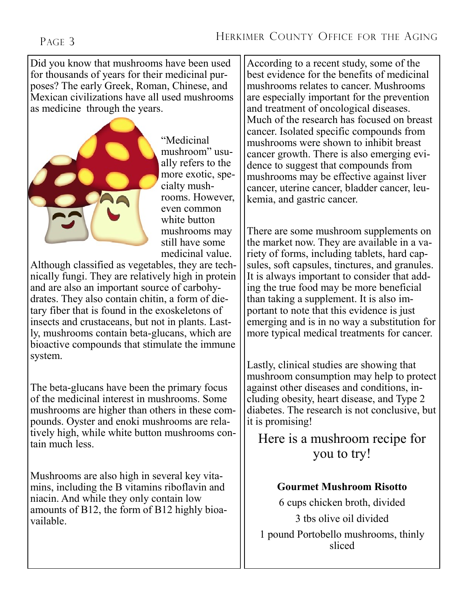Did you know that mushrooms have been used for thousands of years for their medicinal purposes? The early Greek, Roman, Chinese, and Mexican civilizations have all used mushrooms as medicine through the years.



"Medicinal mushroom" usually refers to the more exotic, specialty mushrooms. However, even common white button mushrooms may still have some medicinal value.

Although classified as vegetables, they are technically fungi. They are relatively high in protein and are also an important source of carbohydrates. They also contain chitin, a form of dietary fiber that is found in the exoskeletons of insects and crustaceans, but not in plants. Lastly, mushrooms contain beta-glucans, which are bioactive compounds that stimulate the immune system.

The beta-glucans have been the primary focus of the medicinal interest in mushrooms. Some mushrooms are higher than others in these compounds. Oyster and enoki mushrooms are relatively high, while white button mushrooms contain much less.

Mushrooms are also high in several key vitamins, including the B vitamins riboflavin and niacin. And while they only contain low amounts of B12, the form of B12 highly bioavailable.

According to a recent study, some of the best evidence for the benefits of medicinal mushrooms relates to cancer. Mushrooms are especially important for the prevention and treatment of oncological diseases. Much of the research has focused on breast cancer. Isolated specific compounds from mushrooms were shown to inhibit breast cancer growth. There is also emerging evidence to suggest that compounds from mushrooms may be effective against liver cancer, uterine cancer, bladder cancer, leukemia, and gastric cancer.

There are some mushroom supplements on the market now. They are available in a variety of forms, including tablets, hard capsules, soft capsules, tinctures, and granules. It is always important to consider that adding the true food may be more beneficial than taking a supplement. It is also important to note that this evidence is just emerging and is in no way a substitution for more typical medical treatments for cancer.

Lastly, clinical studies are showing that mushroom consumption may help to protect against other diseases and conditions, including obesity, heart disease, and Type 2 diabetes. The research is not conclusive, but it is promising!

Here is a mushroom recipe for you to try!

#### **Gourmet Mushroom Risotto**

6 cups chicken broth, divided 3 tbs olive oil divided 1 pound Portobello mushrooms, thinly sliced